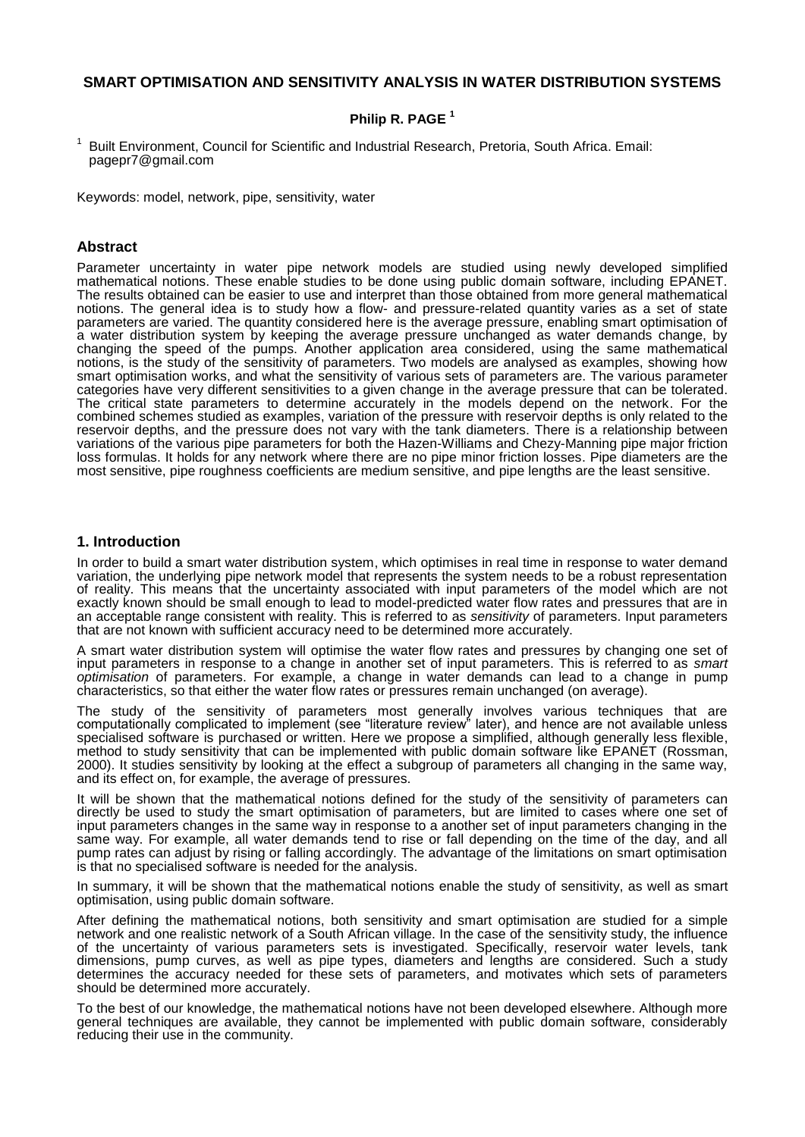# **SMART OPTIMISATION AND SENSITIVITY ANALYSIS IN WATER DISTRIBUTION SYSTEMS**

# **Philip R. PAGE <sup>1</sup>**

<sup>1</sup> Built Environment, Council for Scientific and Industrial Research, Pretoria, South Africa. Email: pagepr7@gmail.com

Keywords: model, network, pipe, sensitivity, water

## **Abstract**

Parameter uncertainty in water pipe network models are studied using newly developed simplified mathematical notions. These enable studies to be done using public domain software, including EPANET. The results obtained can be easier to use and interpret than those obtained from more general mathematical notions. The general idea is to study how a flow- and pressure-related quantity varies as a set of state parameters are varied. The quantity considered here is the average pressure, enabling smart optimisation of a water distribution system by keeping the average pressure unchanged as water demands change, by changing the speed of the pumps. Another application area considered, using the same mathematical notions, is the study of the sensitivity of parameters. Two models are analysed as examples, showing how smart optimisation works, and what the sensitivity of various sets of parameters are. The various parameter categories have very different sensitivities to a given change in the average pressure that can be tolerated. The critical state parameters to determine accurately in the models depend on the network. For the combined schemes studied as examples, variation of the pressure with reservoir depths is only related to the reservoir depths, and the pressure does not vary with the tank diameters. There is a relationship between variations of the various pipe parameters for both the Hazen-Williams and Chezy-Manning pipe major friction loss formulas. It holds for any network where there are no pipe minor friction losses. Pipe diameters are the most sensitive, pipe roughness coefficients are medium sensitive, and pipe lengths are the least sensitive.

## **1. Introduction**

In order to build a smart water distribution system, which optimises in real time in response to water demand variation, the underlying pipe network model that represents the system needs to be a robust representation of reality. This means that the uncertainty associated with input parameters of the model which are not exactly known should be small enough to lead to model-predicted water flow rates and pressures that are in an acceptable range consistent with reality. This is referred to as *sensitivity* of parameters. Input parameters that are not known with sufficient accuracy need to be determined more accurately.

A smart water distribution system will optimise the water flow rates and pressures by changing one set of input parameters in response to a change in another set of input parameters. This is referred to as *smart optimisation* of parameters. For example, a change in water demands can lead to a change in pump characteristics, so that either the water flow rates or pressures remain unchanged (on average).

The study of the sensitivity of parameters most generally involves various techniques that are computationally complicated to implement (see "literature review" later), and hence are not available unless specialised software is purchased or written. Here we propose a simplified, although generally less flexible, method to study sensitivity that can be implemented with public domain software like EPANET (Rossman, 2000). It studies sensitivity by looking at the effect a subgroup of parameters all changing in the same way, and its effect on, for example, the average of pressures.

It will be shown that the mathematical notions defined for the study of the sensitivity of parameters can directly be used to study the smart optimisation of parameters, but are limited to cases where one set of input parameters changes in the same way in response to a another set of input parameters changing in the same way. For example, all water demands tend to rise or fall depending on the time of the day, and all pump rates can adjust by rising or falling accordingly. The advantage of the limitations on smart optimisation is that no specialised software is needed for the analysis.

In summary, it will be shown that the mathematical notions enable the study of sensitivity, as well as smart optimisation, using public domain software.

After defining the mathematical notions, both sensitivity and smart optimisation are studied for a simple network and one realistic network of a South African village. In the case of the sensitivity study, the influence of the uncertainty of various parameters sets is investigated. Specifically, reservoir water levels, tank dimensions, pump curves, as well as pipe types, diameters and lengths are considered. Such a study determines the accuracy needed for these sets of parameters, and motivates which sets of parameters should be determined more accurately.

To the best of our knowledge, the mathematical notions have not been developed elsewhere. Although more general techniques are available, they cannot be implemented with public domain software, considerably reducing their use in the community.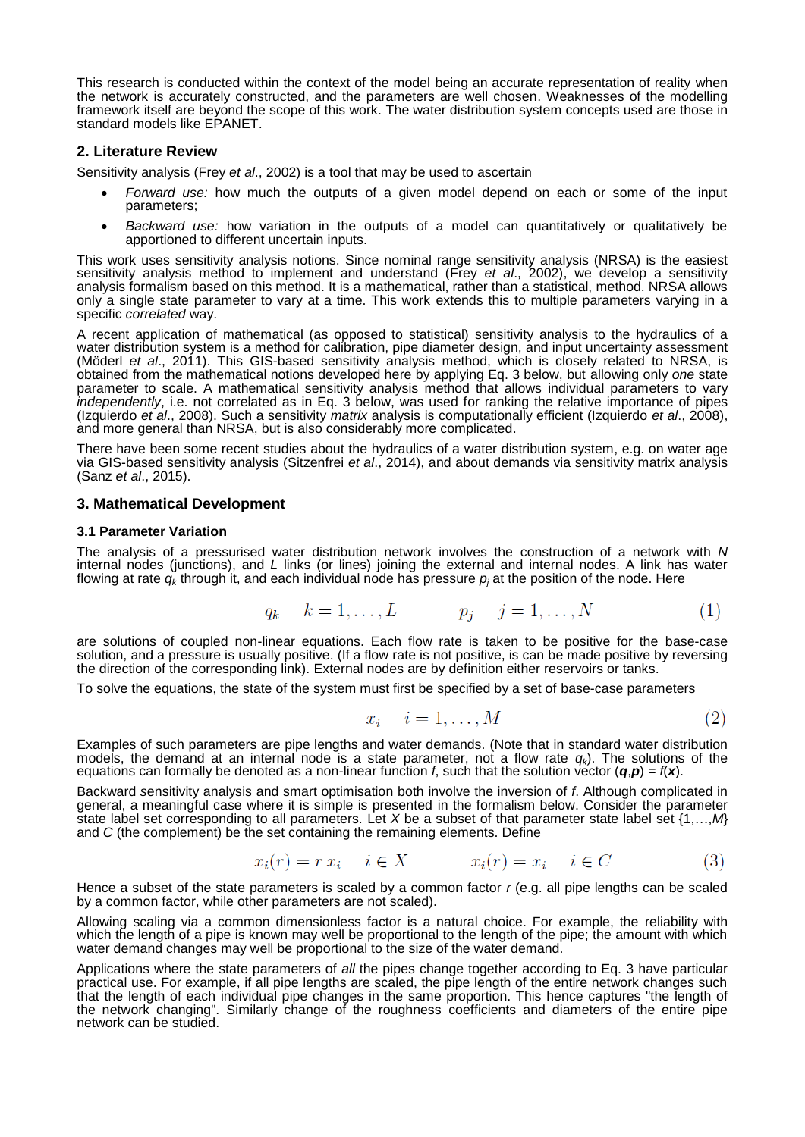This research is conducted within the context of the model being an accurate representation of reality when the network is accurately constructed, and the parameters are well chosen. Weaknesses of the modelling framework itself are beyond the scope of this work. The water distribution system concepts used are those in standard models like EPANET.

## **2. Literature Review**

Sensitivity analysis (Frey *et al*., 2002) is a tool that may be used to ascertain

- *Forward use:* how much the outputs of a given model depend on each or some of the input parameters;
- *Backward use:* how variation in the outputs of a model can quantitatively or qualitatively be apportioned to different uncertain inputs.

This work uses sensitivity analysis notions. Since nominal range sensitivity analysis (NRSA) is the easiest sensitivity analysis method to implement and understand (Frey *et al.*, 2002), we develop a sensitivity analysis formalism based on this method. It is a mathematical, rather than a statistical, method. NRSA allows only a single state parameter to vary at a time. This work extends this to multiple parameters varying in a specific *correlated* way.

A recent application of mathematical (as opposed to statistical) sensitivity analysis to the hydraulics of a water distribution system is a method for calibration, pipe diameter design, and input uncertainty assessment (Möderl *et al*., 2011). This GIS-based sensitivity analysis method, which is closely related to NRSA, is obtained from the mathematical notions developed here by applying Eq. 3 below, but allowing only *one* state parameter to scale. A mathematical sensitivity analysis method that allows individual parameters to vary *independently*, i.e. not correlated as in Eq. 3 below, was used for ranking the relative importance of pipes (Izquierdo *et al*., 2008). Such a sensitivity *matrix* analysis is computationally efficient (Izquierdo *et al*., 2008), and more general than NRSA, but is also considerably more complicated.

There have been some recent studies about the hydraulics of a water distribution system, e.g. on water age via GIS-based sensitivity analysis (Sitzenfrei *et al*., 2014), and about demands via sensitivity matrix analysis (Sanz *et al*., 2015).

## **3. Mathematical Development**

## **3.1 Parameter Variation**

The analysis of a pressurised water distribution network involves the construction of a network with *N* internal nodes (junctions), and *L* links (or lines) joining the external and internal nodes. A link has water flowing at rate  $q_k$  through it, and each individual node has pressure  $p_i$  at the position of the node. Here

$$
q_k \quad k = 1, \dots, L \qquad p_j \quad j = 1, \dots, N \tag{1}
$$

are solutions of coupled non-linear equations. Each flow rate is taken to be positive for the base-case solution, and a pressure is usually positive. (If a flow rate is not positive, is can be made positive by reversing the direction of the corresponding link). External nodes are by definition either reservoirs or tanks.

To solve the equations, the state of the system must first be specified by a set of base-case parameters

$$
x_i \quad i = 1, \dots, M \tag{2}
$$

Examples of such parameters are pipe lengths and water demands. (Note that in standard water distribution models, the demand at an internal node is a state parameter, not a flow rate *qk*). The solutions of the equations can formally be denoted as a non-linear function *f*, such that the solution vector  $(q, p) = f(x)$ .

Backward *s*ensitivity analysis and smart optimisation both involve the inversion of *f*. Although complicated in general, a meaningful case where it is simple is presented in the formalism below. Consider the parameter state label set corresponding to all parameters. Let *X* be a subset of that parameter state label set {1,…,*M*} and *C* (the complement) be the set containing the remaining elements. Define

$$
x_i(r) = r x_i \quad i \in X \qquad x_i(r) = x_i \quad i \in C \tag{3}
$$

Hence a subset of the state parameters is scaled by a common factor *r* (e.g. all pipe lengths can be scaled by a common factor, while other parameters are not scaled).

Allowing scaling via a common dimensionless factor is a natural choice. For example, the reliability with which the length of a pipe is known may well be proportional to the length of the pipe; the amount with which water demand changes may well be proportional to the size of the water demand.

Applications where the state parameters of *all* the pipes change together according to Eq. 3 have particular practical use. For example, if all pipe lengths are scaled, the pipe length of the entire network changes such that the length of each individual pipe changes in the same proportion. This hence captures "the length of the network changing". Similarly change of the roughness coefficients and diameters of the entire pipe network can be studied.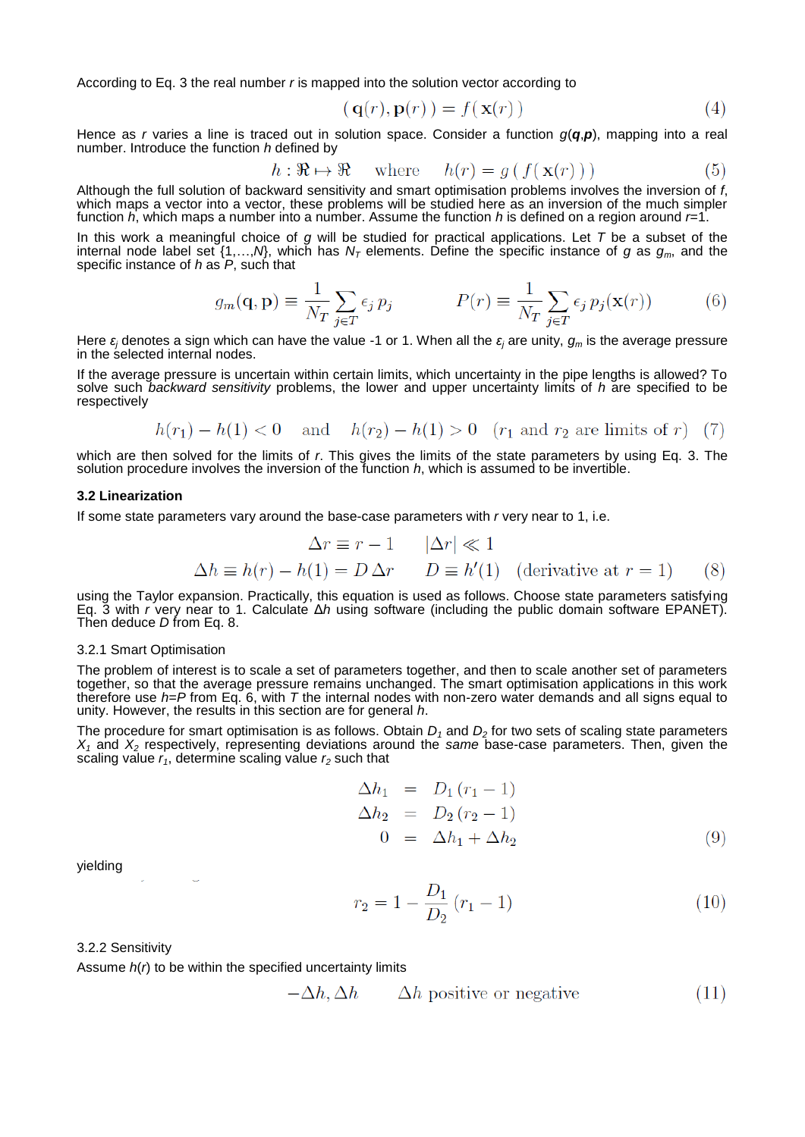According to Eq. 3 the real number *r* is mapped into the solution vector according to

$$
\mathbf{q}(r), \mathbf{p}(r)) = f(\mathbf{x}(r)) \tag{4}
$$

Hence as *r* varies a line is traced out in solution space. Consider a function *g*(*q*,*p*), mapping into a real number. Introduce the function *h* defined by

$$
h: \mathfrak{R} \to \mathfrak{R} \quad \text{where} \quad h(r) = g(f(\mathbf{x}(r))) \tag{5}
$$

Although the full solution of backward sensitivity and smart optimisation problems involves the inversion of *f*, which maps a vector into a vector, these problems will be studied here as an inversion of the much simpler function *h*, which maps a number into a number. Assume the function *h* is defined on a region around *r*=1.

In this work a meaningful choice of *g* will be studied for practical applications. Let *T* be a subset of the internal node label set {1,…,*N*}, which has *N<sup>T</sup>* elements. Define the specific instance of *g* as *gm*, and the specific instance of *h* as *P*, such that

$$
g_m(\mathbf{q}, \mathbf{p}) \equiv \frac{1}{N_T} \sum_{j \in T} \epsilon_j \, p_j \qquad P(r) \equiv \frac{1}{N_T} \sum_{j \in T} \epsilon_j \, p_j(\mathbf{x}(r)) \tag{6}
$$

Here *ε<sup>j</sup>* denotes a sign which can have the value -1 or 1. When all the *ε<sup>j</sup>* are unity, *g<sup>m</sup>* is the average pressure in the selected internal nodes.

If the average pressure is uncertain within certain limits, which uncertainty in the pipe lengths is allowed? To solve such *backward sensitivity* problems, the lower and upper uncertainty limits of *h* are specified to be respectively

$$
h(r_1) - h(1) < 0
$$
 and  $h(r_2) - h(1) > 0$   $(r_1$  and  $r_2$  are limits of r) (7)

which are then solved for the limits of *r*. This gives the limits of the state parameters by using Eq. 3. The solution procedure involves the inversion of the function *h*, which is assumed to be invertible.

### **3.2 Linearization**

If some state parameters vary around the base-case parameters with *r* very near to 1, i.e.

$$
\Delta r \equiv r - 1 \qquad |\Delta r| \ll 1
$$
  

$$
\Delta h \equiv h(r) - h(1) = D \Delta r \qquad D \equiv h'(1) \quad \text{(derivative at } r = 1) \tag{8}
$$

using the Taylor expansion. Practically, this equation is used as follows. Choose state parameters satisfying Eq. 3 with *r* very near to 1. Calculate Δ*h* using software (including the public domain software EPANET). Then deduce *D* from Eq. 8.

#### 3.2.1 Smart Optimisation

The problem of interest is to scale a set of parameters together, and then to scale another set of parameters together, so that the average pressure remains unchanged. The smart optimisation applications in this work therefore use *h*=*P* from Eq. 6, with *T* the internal nodes with non-zero water demands and all signs equal to unity. However, the results in this section are for general *h*.

The procedure for smart optimisation is as follows. Obtain *D<sup>1</sup>* and *D<sup>2</sup>* for two sets of scaling state parameters *X<sup>1</sup>* and *X<sup>2</sup>* respectively, representing deviations around the *same* base-case parameters. Then, given the scaling value  $r_1$ , determine scaling value  $r_2$  such that

$$
\begin{aligned}\n\Delta h_1 &= D_1 (r_1 - 1) \\
\Delta h_2 &= D_2 (r_2 - 1) \\
0 &= \Delta h_1 + \Delta h_2\n\end{aligned} \tag{9}
$$

yielding

$$
r_2 = 1 - \frac{D_1}{D_2} (r_1 - 1)
$$
\n(10)

3.2.2 Sensitivity

Assume *h*(*r*) to be within the specified uncertainty limits

$$
-\Delta h, \Delta h \qquad \Delta h \text{ positive or negative} \tag{11}
$$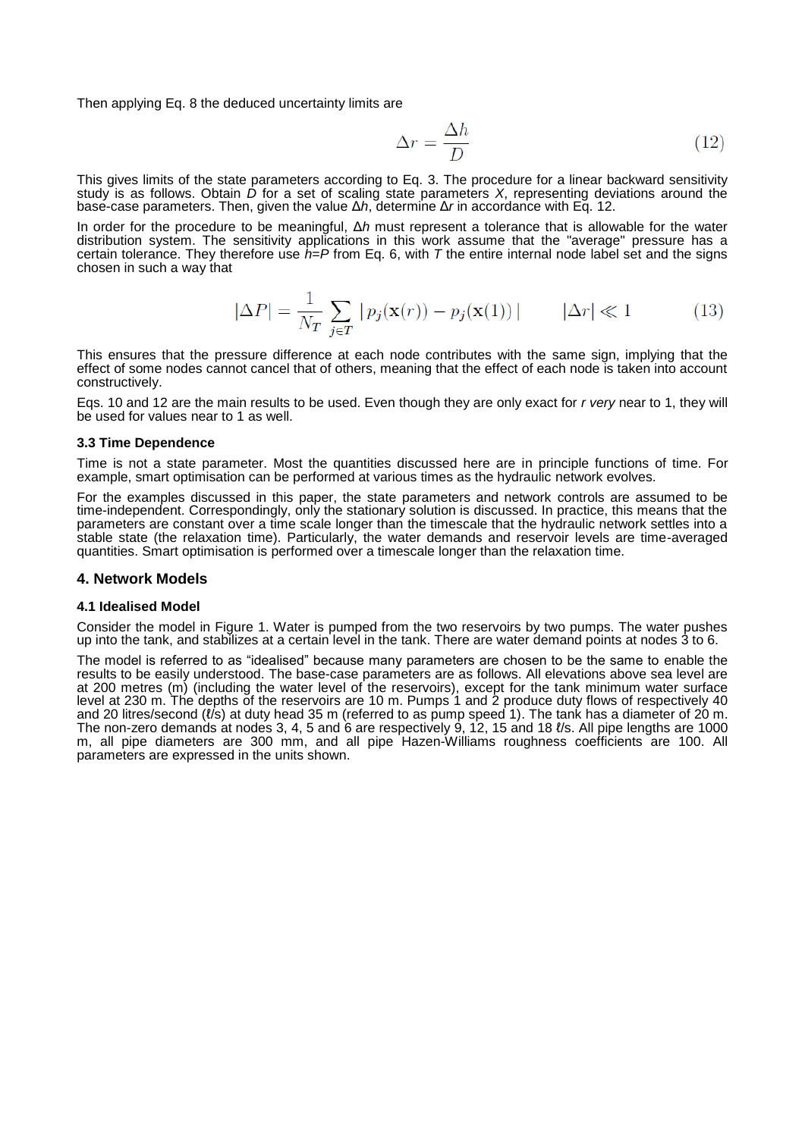Then applying Eq. 8 the deduced uncertainty limits are

$$
\Delta r = \frac{\Delta h}{D} \tag{12}
$$

This gives limits of the state parameters according to Eq. 3. The procedure for a linear backward sensitivity study is as follows. Obtain *D* for a set of scaling state parameters *X*, representing deviations around the base-case parameters. Then, given the value Δ*h*, determine Δ*r* in accordance with Eq. 12.

In order for the procedure to be meaningful, Δ*h* must represent a tolerance that is allowable for the water distribution system. The sensitivity applications in this work assume that the "average" pressure has a certain tolerance. They therefore use *h*=*P* from Eq. 6, with *T* the entire internal node label set and the signs chosen in such a way that

$$
|\Delta P| = \frac{1}{N_T} \sum_{j \in T} |p_j(\mathbf{x}(r)) - p_j(\mathbf{x}(1))| \qquad |\Delta r| \ll 1 \tag{13}
$$

This ensures that the pressure difference at each node contributes with the same sign, implying that the effect of some nodes cannot cancel that of others, meaning that the effect of each node is taken into account constructively.

Eqs. 10 and 12 are the main results to be used. Even though they are only exact for *r very* near to 1, they will be used for values near to 1 as well.

### **3.3 Time Dependence**

Time is not a state parameter. Most the quantities discussed here are in principle functions of time. For example, smart optimisation can be performed at various times as the hydraulic network evolves.

For the examples discussed in this paper, the state parameters and network controls are assumed to be time-independent. Correspondingly, only the stationary solution is discussed. In practice, this means that the parameters are constant over a time scale longer than the timescale that the hydraulic network settles into a stable state (the relaxation time). Particularly, the water demands and reservoir levels are time-averaged quantities. Smart optimisation is performed over a timescale longer than the relaxation time.

## **4. Network Models**

## **4.1 Idealised Model**

Consider the model in [Figure 1.](#page-4-0) Water is pumped from the two reservoirs by two pumps. The water pushes up into the tank, and stabilizes at a certain level in the tank. There are water demand points at nodes 3 to 6.

The model is referred to as "idealised" because many parameters are chosen to be the same to enable the results to be easily understood. The base-case parameters are as follows. All elevations above sea level are at 200 metres (m) (including the water level of the reservoirs), except for the tank minimum water surface level at 230 m. The depths of the reservoirs are 10 m. Pumps 1 and 2 produce duty flows of respectively 40 and 20 litres/second (t/s) at duty head 35 m (referred to as pump speed 1). The tank has a diameter of 20 m. The non-zero demands at nodes 3, 4, 5 and 6 are respectively 9, 12, 15 and 18 ℓ/s. All pipe lengths are 1000 m, all pipe diameters are 300 mm, and all pipe Hazen-Williams roughness coefficients are 100. All parameters are expressed in the units shown.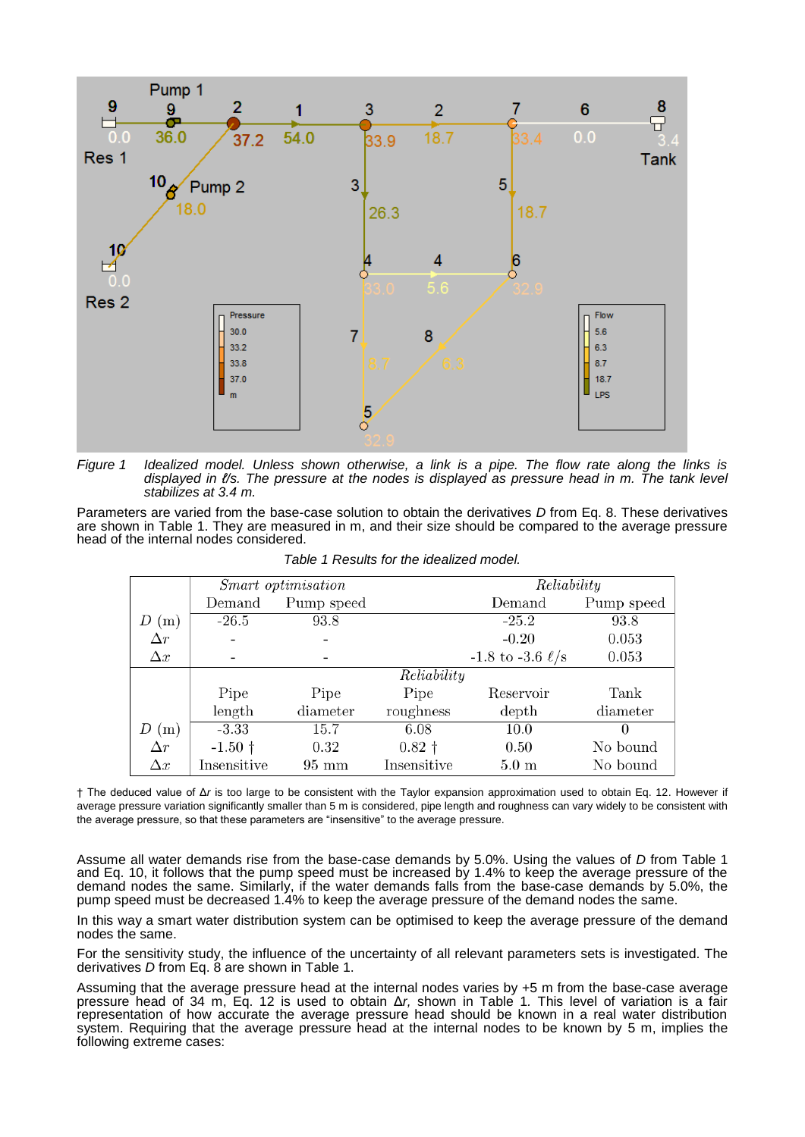

<span id="page-4-0"></span>*Figure 1 Idealized model. Unless shown otherwise, a link is a pipe. The flow rate along the links is displayed in ℓ/s. The pressure at the nodes is displayed as pressure head in m. The tank level stabilizes at 3.4 m.*

Parameters are varied from the base-case solution to obtain the derivatives *D* from Eq. 8. These derivatives are shown in Table 1. They are measured in m, and their size should be compared to the average pressure head of the internal nodes considered.

|            |                | Smart optimisation |             | Reliability             |            |  |
|------------|----------------|--------------------|-------------|-------------------------|------------|--|
|            | Demand         | Pump speed         |             | Demand                  | Pump speed |  |
| (m)        | $-26.5$        | 93.8               |             | $-25.2$                 | 93.8       |  |
| $\Delta r$ |                |                    |             | $-0.20$                 | 0.053      |  |
| $\Delta x$ |                |                    |             | $-1.8$ to $-3.6 \ell/s$ | 0.053      |  |
|            |                |                    | Reliability |                         |            |  |
|            | Pipe           | Pipe               | Pipe        | Reservoir               | Tank       |  |
|            | length         | diameter           | roughness   | depth                   | diameter   |  |
| (m)        | $-3.33$        | 15.7               | 6.08        | 10.0                    | 0          |  |
| $\Delta r$ | $-1.50\dagger$ | $0.32\,$           | $0.82 +$    | 0.50                    | No bound   |  |
| $\Delta x$ | Insensitive    | $95 \text{ mm}$    | Insensitive | $5.0 \text{ m}$         | No bound   |  |

*Table 1 Results for the idealized model.*

† The deduced value of Δ*r* is too large to be consistent with the Taylor expansion approximation used to obtain Eq. 12. However if average pressure variation significantly smaller than 5 m is considered, pipe length and roughness can vary widely to be consistent with the average pressure, so that these parameters are "insensitive" to the average pressure.

Assume all water demands rise from the base-case demands by 5.0%. Using the values of *D* from Table 1 and Eq. 10, it follows that the pump speed must be increased by 1.4% to keep the average pressure of the demand nodes the same. Similarly, if the water demands falls from the base-case demands by 5.0%, the pump speed must be decreased 1.4% to keep the average pressure of the demand nodes the same.

In this way a smart water distribution system can be optimised to keep the average pressure of the demand nodes the same.

For the sensitivity study, the influence of the uncertainty of all relevant parameters sets is investigated. The derivatives *D* from Eq. 8 are shown in Table 1.

Assuming that the average pressure head at the internal nodes varies by +5 m from the base-case average pressure head of 34 m, Eq. 12 is used to obtain Δ*r,* shown in Table 1*.* This level of variation is a fair representation of how accurate the average pressure head should be known in a real water distribution system. Requiring that the average pressure head at the internal nodes to be known by 5 m, implies the following extreme cases: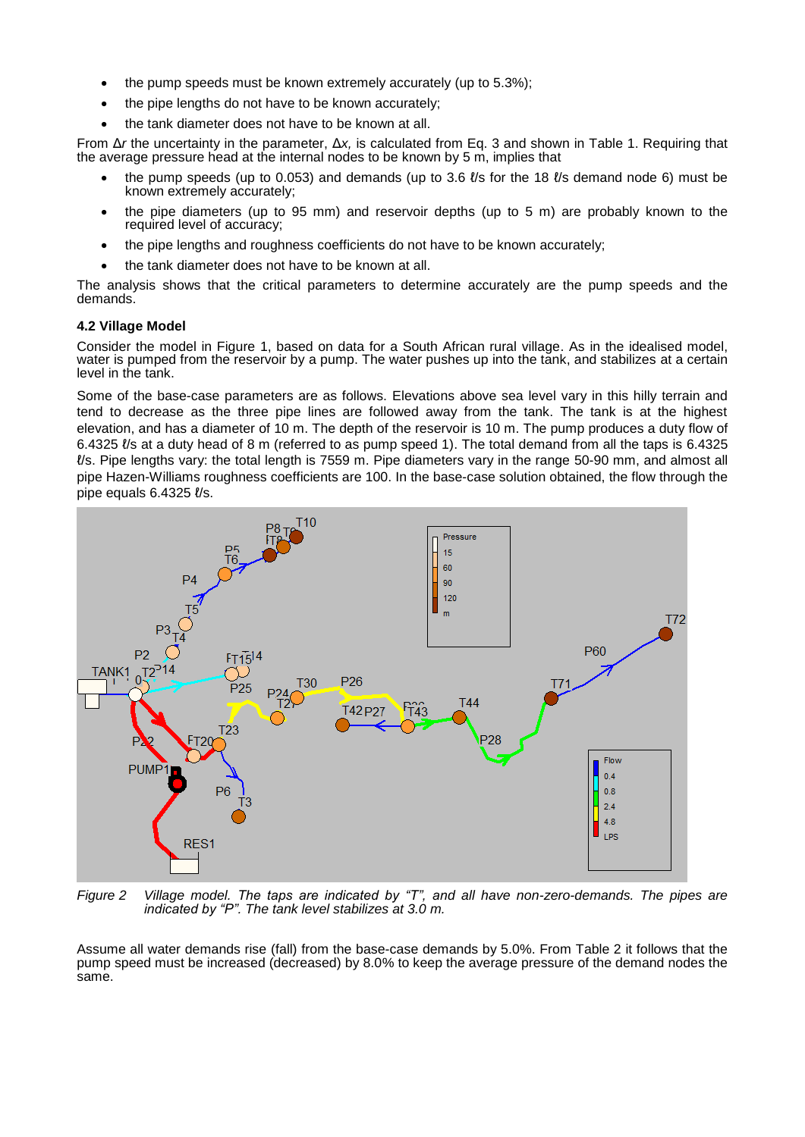- $\bullet$  the pump speeds must be known extremely accurately (up to 5.3%);
- the pipe lengths do not have to be known accurately;
- the tank diameter does not have to be known at all.

From Δ*r* the uncertainty in the parameter, Δ*x,* is calculated from Eq. 3 and shown in Table 1. Requiring that the average pressure head at the internal nodes to be known by 5 m, implies that

- the pump speeds (up to 0.053) and demands (up to 3.6  $\ell$ /s for the 18  $\ell$ /s demand node 6) must be known extremely accurately;
- the pipe diameters (up to 95 mm) and reservoir depths (up to 5 m) are probably known to the required level of accuracy;
- the pipe lengths and roughness coefficients do not have to be known accurately;
- the tank diameter does not have to be known at all.

The analysis shows that the critical parameters to determine accurately are the pump speeds and the demands.

## **4.2 Village Model**

Consider the model in [Figure 1,](#page-4-0) based on data for a South African rural village. As in the idealised model, water is pumped from the reservoir by a pump. The water pushes up into the tank, and stabilizes at a certain level in the tank.

Some of the base-case parameters are as follows. Elevations above sea level vary in this hilly terrain and tend to decrease as the three pipe lines are followed away from the tank. The tank is at the highest elevation, and has a diameter of 10 m. The depth of the reservoir is 10 m. The pump produces a duty flow of 6.4325 ℓ/s at a duty head of 8 m (referred to as pump speed 1). The total demand from all the taps is 6.4325 ℓ/s. Pipe lengths vary: the total length is 7559 m. Pipe diameters vary in the range 50-90 mm, and almost all pipe Hazen-Williams roughness coefficients are 100. In the base-case solution obtained, the flow through the pipe equals 6.4325 ℓ/s.



*Figure 2 Village model. The taps are indicated by "T", and all have non-zero-demands. The pipes are indicated by "P". The tank level stabilizes at 3.0 m.*

Assume all water demands rise (fall) from the base-case demands by 5.0%. From Table 2 it follows that the pump speed must be increased (decreased) by 8.0% to keep the average pressure of the demand nodes the same.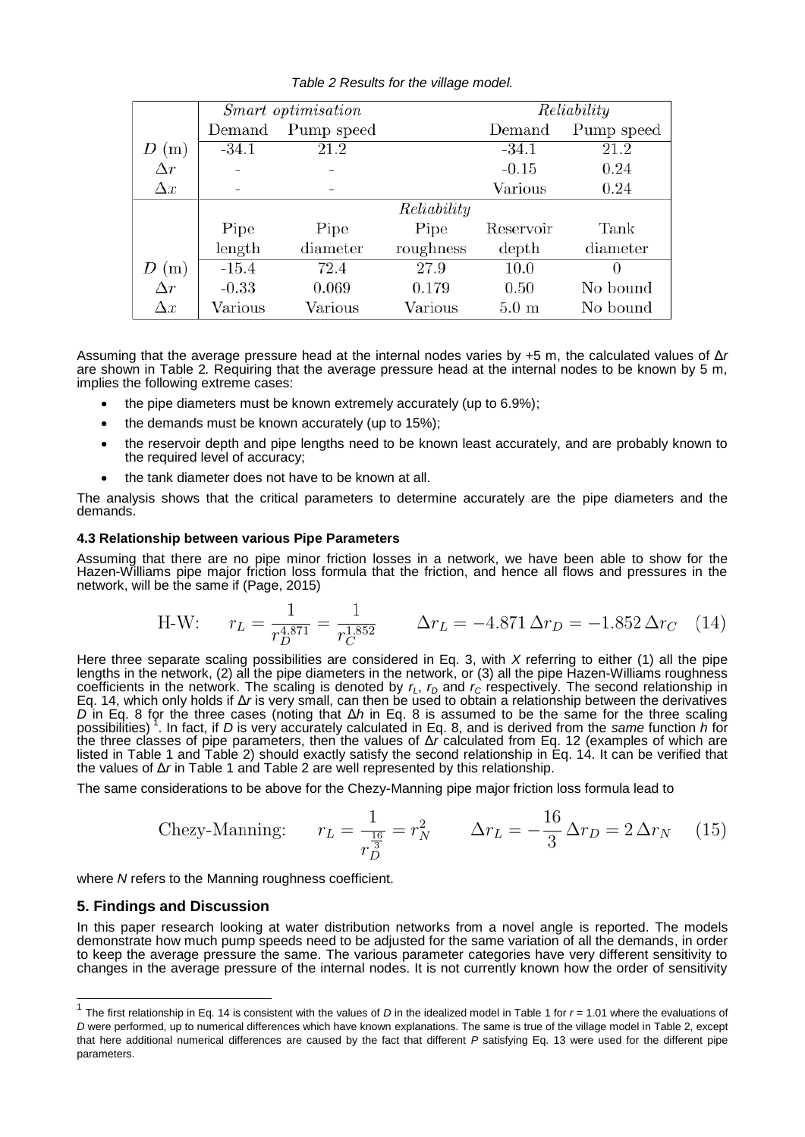| Table 2 Results for the village model. |  |  |  |  |
|----------------------------------------|--|--|--|--|
|----------------------------------------|--|--|--|--|

|            |         | Smart optimisation |             | Reliability     |            |  |
|------------|---------|--------------------|-------------|-----------------|------------|--|
|            | Demand  | Pump speed         |             | Demand          | Pump speed |  |
| (m)        | $-34.1$ | 21.2               |             | $-34.1$         | 21.2       |  |
| $\Delta r$ |         |                    |             | $-0.15$         | 0.24       |  |
| $\Delta x$ |         |                    |             | Various         | 0.24       |  |
|            |         |                    | Reliability |                 |            |  |
|            | Pipe    | Pipe               | Pipe        | Reservoir       | Tank       |  |
|            | length  | diameter           | roughness   | depth           | diameter   |  |
| (m)        | $-15.4$ | 72.4               | 27.9        | 10.0            |            |  |
| $\Delta r$ | $-0.33$ | 0.069              | 0.179       | 0.50            | No bound   |  |
| $\Delta x$ | Various | Various            | Various     | $5.0 \text{ m}$ | No bound   |  |

Assuming that the average pressure head at the internal nodes varies by +5 m, the calculated values of Δ*r* are shown in Table 2*.* Requiring that the average pressure head at the internal nodes to be known by 5 m, implies the following extreme cases:

- the pipe diameters must be known extremely accurately (up to 6.9%);
- the demands must be known accurately (up to 15%);
- the reservoir depth and pipe lengths need to be known least accurately, and are probably known to the required level of accuracy;
- the tank diameter does not have to be known at all.

The analysis shows that the critical parameters to determine accurately are the pipe diameters and the demands.

## **4.3 Relationship between various Pipe Parameters**

Assuming that there are no pipe minor friction losses in a network, we have been able to show for the Hazen-Williams pipe major friction loss formula that the friction, and hence all flows and pressures in the network, will be the same if (Page, 2015)

H-W: 
$$
r_L = \frac{1}{r_D^{4.871}} = \frac{1}{r_C^{1.852}}
$$
  $\Delta r_L = -4.871 \Delta r_D = -1.852 \Delta r_C$  (14)

Here three separate scaling possibilities are considered in Eq. 3, with *X* referring to either (1) all the pipe lengths in the network, (2) all the pipe diameters in the network, or (3) all the pipe Hazen-Williams roughness coefficients in the network. The scaling is denoted by  $r<sub>L</sub>$ ,  $r<sub>D</sub>$  and  $r<sub>C</sub>$  respectively. The second relationship in Eq. 14, which only holds if Δ*r* is very small, can then be used to obtain a relationship between the derivatives *D* in Eq. 8 for the three cases (noting that Δ*h* in Eq. 8 is assumed to be the same for the three scaling possibilities) 1 . In fact, if *D* is very accurately calculated in Eq. 8, and is derived from the *same* function *h* for the three classes of pipe parameters, then the values of Δ*r* calculated from Eq. 12 (examples of which are listed in Table 1 and Table 2) should exactly satisfy the second relationship in Eq. 14. It can be verified that the values of Δ*r* in Table 1 and Table 2 are well represented by this relationship.

The same considerations to be above for the Chezy-Manning pipe major friction loss formula lead to

$$
\text{Chezy-Manning:} \qquad r_L = \frac{1}{r_D^{\frac{16}{3}}} = r_N^2 \qquad \Delta r_L = -\frac{16}{3} \Delta r_D = 2 \Delta r_N \tag{15}
$$

where *N* refers to the Manning roughness coefficient.

# **5. Findings and Discussion**

In this paper research looking at water distribution networks from a novel angle is reported. The models demonstrate how much pump speeds need to be adjusted for the same variation of all the demands, in order to keep the average pressure the same. The various parameter categories have very different sensitivity to changes in the average pressure of the internal nodes. It is not currently known how the order of sensitivity

 1 The first relationship in Eq. 14 is consistent with the values of *D* in the idealized model in Table 1 for *r* = 1.01 where the evaluations of *D* were performed, up to numerical differences which have known explanations. The same is true of the village model in Table 2, except that here additional numerical differences are caused by the fact that different *P* satisfying Eq. 13 were used for the different pipe parameters.